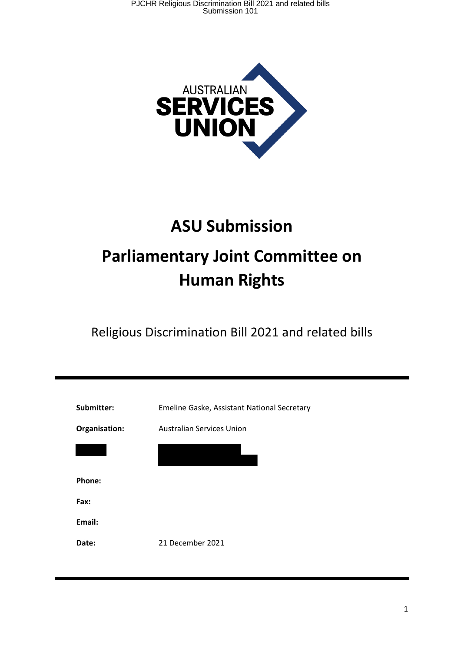

# **ASU Submission Parliamentary Joint Committee on Human Rights**

Religious Discrimination Bill 2021 and related bills

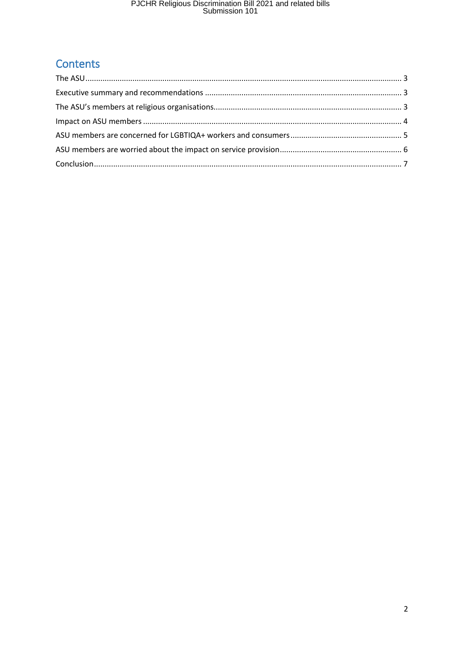## PJCHR Religious Discrimination Bill 2021 and related bills<br>Submission 101

### Contents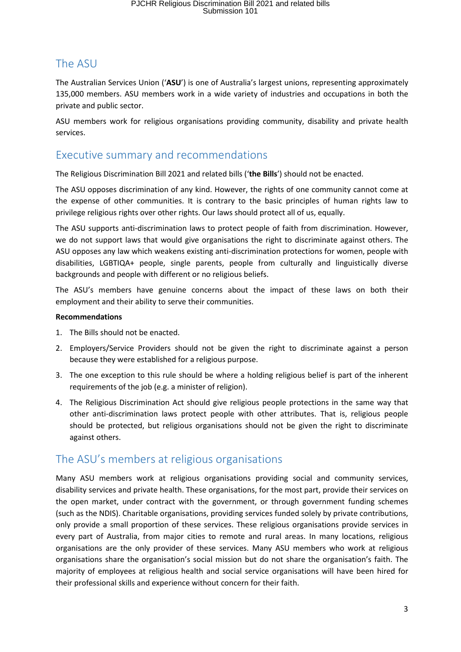#### The ASU

The Australian Services Union ('**ASU**') is one of Australia's largest unions, representing approximately 135,000 members. ASU members work in a wide variety of industries and occupations in both the private and public sector.

ASU members work for religious organisations providing community, disability and private health services.

#### Executive summary and recommendations

The Religious Discrimination Bill 2021 and related bills ('**the Bills**') should not be enacted.

The ASU opposes discrimination of any kind. However, the rights of one community cannot come at the expense of other communities. It is contrary to the basic principles of human rights law to privilege religious rights over other rights. Our laws should protect all of us, equally.

The ASU supports anti-discrimination laws to protect people of faith from discrimination. However, we do not support laws that would give organisations the right to discriminate against others. The ASU opposes any law which weakens existing anti-discrimination protections for women, people with disabilities, LGBTIQA+ people, single parents, people from culturally and linguistically diverse backgrounds and people with different or no religious beliefs.

The ASU's members have genuine concerns about the impact of these laws on both their employment and their ability to serve their communities.

#### **Recommendations**

- 1. The Bills should not be enacted.
- 2. Employers/Service Providers should not be given the right to discriminate against a person because they were established for a religious purpose.
- 3. The one exception to this rule should be where a holding religious belief is part of the inherent requirements of the job (e.g. a minister of religion).
- 4. The Religious Discrimination Act should give religious people protections in the same way that other anti-discrimination laws protect people with other attributes. That is, religious people should be protected, but religious organisations should not be given the right to discriminate against others.

#### The ASU's members at religious organisations

Many ASU members work at religious organisations providing social and community services, disability services and private health. These organisations, for the most part, provide their services on the open market, under contract with the government, or through government funding schemes (such as the NDIS). Charitable organisations, providing services funded solely by private contributions, only provide a small proportion of these services. These religious organisations provide services in every part of Australia, from major cities to remote and rural areas. In many locations, religious organisations are the only provider of these services. Many ASU members who work at religious organisations share the organisation's social mission but do not share the organisation's faith. The majority of employees at religious health and social service organisations will have been hired for their professional skills and experience without concern for their faith.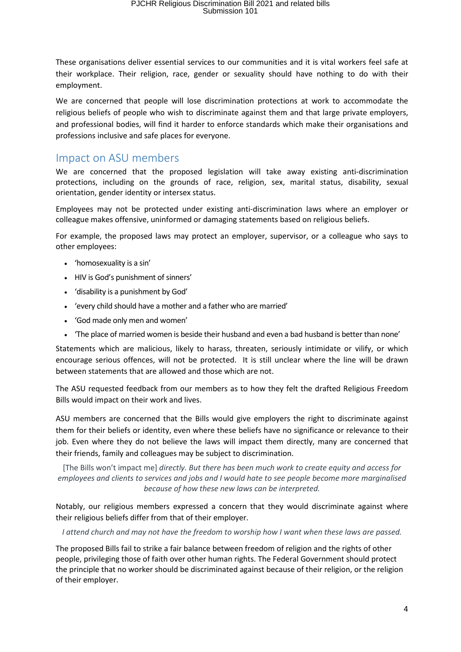These organisations deliver essential services to our communities and it is vital workers feel safe at their workplace. Their religion, race, gender or sexuality should have nothing to do with their employment.

We are concerned that people will lose discrimination protections at work to accommodate the religious beliefs of people who wish to discriminate against them and that large private employers, and professional bodies, will find it harder to enforce standards which make their organisations and professions inclusive and safe places for everyone.

#### Impact on ASU members

We are concerned that the proposed legislation will take away existing anti-discrimination protections, including on the grounds of race, religion, sex, marital status, disability, sexual orientation, gender identity or intersex status.

Employees may not be protected under existing anti-discrimination laws where an employer or colleague makes offensive, uninformed or damaging statements based on religious beliefs.

For example, the proposed laws may protect an employer, supervisor, or a colleague who says to other employees:

- 'homosexuality is a sin'
- HIV is God's punishment of sinners'
- 'disability is a punishment by God'
- 'every child should have a mother and a father who are married'
- 'God made only men and women'
- 'The place of married women is beside their husband and even a bad husband is better than none'

Statements which are malicious, likely to harass, threaten, seriously intimidate or vilify, or which encourage serious offences, will not be protected. It is still unclear where the line will be drawn between statements that are allowed and those which are not.

The ASU requested feedback from our members as to how they felt the drafted Religious Freedom Bills would impact on their work and lives.

ASU members are concerned that the Bills would give employers the right to discriminate against them for their beliefs or identity, even where these beliefs have no significance or relevance to their job. Even where they do not believe the laws will impact them directly, many are concerned that their friends, family and colleagues may be subject to discrimination.

[The Bills won't impact me] *directly. But there has been much work to create equity and access for employees and clients to services and jobs and I would hate to see people become more marginalised because of how these new laws can be interpreted.*

Notably, our religious members expressed a concern that they would discriminate against where their religious beliefs differ from that of their employer.

*I attend church and may not have the freedom to worship how I want when these laws are passed.*

The proposed Bills fail to strike a fair balance between freedom of religion and the rights of other people, privileging those of faith over other human rights. The Federal Government should protect the principle that no worker should be discriminated against because of their religion, or the religion of their employer.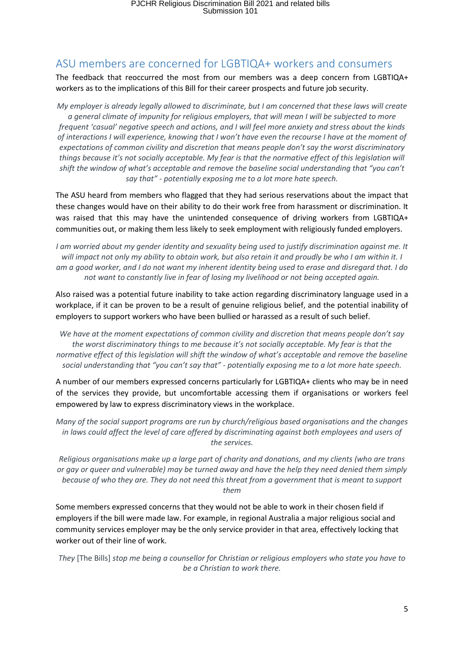#### ASU members are concerned for LGBTIQA+ workers and consumers

The feedback that reoccurred the most from our members was a deep concern from LGBTIQA+ workers as to the implications of this Bill for their career prospects and future job security.

*My employer is already legally allowed to discriminate, but I am concerned that these laws will create a general climate of impunity for religious employers, that will mean I will be subjected to more frequent 'casual' negative speech and actions, and I will feel more anxiety and stress about the kinds of interactions I will experience, knowing that I won't have even the recourse I have at the moment of expectations of common civility and discretion that means people don't say the worst discriminatory things because it's not socially acceptable. My fear is that the normative effect of this legislation will shift the window of what's acceptable and remove the baseline social understanding that "you can't say that" - potentially exposing me to a lot more hate speech.*

The ASU heard from members who flagged that they had serious reservations about the impact that these changes would have on their ability to do their work free from harassment or discrimination. It was raised that this may have the unintended consequence of driving workers from LGBTIQA+ communities out, or making them less likely to seek employment with religiously funded employers.

*I am worried about my gender identity and sexuality being used to justify discrimination against me. It will impact not only my ability to obtain work, but also retain it and proudly be who I am within it. I am a good worker, and I do not want my inherent identity being used to erase and disregard that. I do not want to constantly live in fear of losing my livelihood or not being accepted again.*

Also raised was a potential future inability to take action regarding discriminatory language used in a workplace, if it can be proven to be a result of genuine religious belief, and the potential inability of employers to support workers who have been bullied or harassed as a result of such belief.

*We have at the moment expectations of common civility and discretion that means people don't say the worst discriminatory things to me because it's not socially acceptable. My fear is that the normative effect of this legislation will shift the window of what's acceptable and remove the baseline social understanding that "you can't say that" - potentially exposing me to a lot more hate speech.*

A number of our members expressed concerns particularly for LGBTIQA+ clients who may be in need of the services they provide, but uncomfortable accessing them if organisations or workers feel empowered by law to express discriminatory views in the workplace.

*Many of the social support programs are run by church/religious based organisations and the changes in laws could affect the level of care offered by discriminating against both employees and users of the services.*

*Religious organisations make up a large part of charity and donations, and my clients (who are trans or gay or queer and vulnerable) may be turned away and have the help they need denied them simply because of who they are. They do not need this threat from a government that is meant to support them*

Some members expressed concerns that they would not be able to work in their chosen field if employers if the bill were made law. For example, in regional Australia a major religious social and community services employer may be the only service provider in that area, effectively locking that worker out of their line of work.

*They* [The Bills] *stop me being a counsellor for Christian or religious employers who state you have to be a Christian to work there.*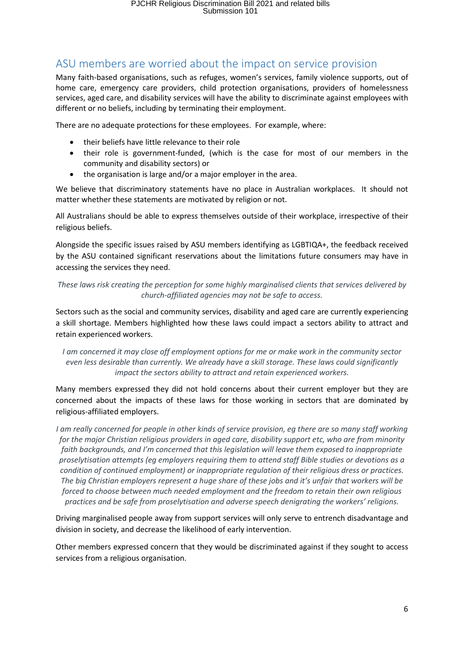#### ASU members are worried about the impact on service provision

Many faith-based organisations, such as refuges, women's services, family violence supports, out of home care, emergency care providers, child protection organisations, providers of homelessness services, aged care, and disability services will have the ability to discriminate against employees with different or no beliefs, including by terminating their employment.

There are no adequate protections for these employees. For example, where:

- their beliefs have little relevance to their role
- their role is government-funded, (which is the case for most of our members in the community and disability sectors) or
- the organisation is large and/or a major employer in the area.

We believe that discriminatory statements have no place in Australian workplaces. It should not matter whether these statements are motivated by religion or not.

All Australians should be able to express themselves outside of their workplace, irrespective of their religious beliefs.

Alongside the specific issues raised by ASU members identifying as LGBTIQA+, the feedback received by the ASU contained significant reservations about the limitations future consumers may have in accessing the services they need.

*These laws risk creating the perception for some highly marginalised clients that services delivered by church-affiliated agencies may not be safe to access.*

Sectors such as the social and community services, disability and aged care are currently experiencing a skill shortage. Members highlighted how these laws could impact a sectors ability to attract and retain experienced workers.

*I am concerned it may close off employment options for me or make work in the community sector even less desirable than currently. We already have a skill storage. These laws could significantly impact the sectors ability to attract and retain experienced workers.*

Many members expressed they did not hold concerns about their current employer but they are concerned about the impacts of these laws for those working in sectors that are dominated by religious-affiliated employers.

*I am really concerned for people in other kinds of service provision, eg there are so many staff working for the major Christian religious providers in aged care, disability support etc, who are from minority faith backgrounds, and I'm concerned that this legislation will leave them exposed to inappropriate proselytisation attempts (eg employers requiring them to attend staff Bible studies or devotions as a condition of continued employment) or inappropriate regulation of their religious dress or practices. The big Christian employers represent a huge share of these jobs and it's unfair that workers will be forced to choose between much needed employment and the freedom to retain their own religious practices and be safe from proselytisation and adverse speech denigrating the workers' religions.*

Driving marginalised people away from support services will only serve to entrench disadvantage and division in society, and decrease the likelihood of early intervention.

Other members expressed concern that they would be discriminated against if they sought to access services from a religious organisation.